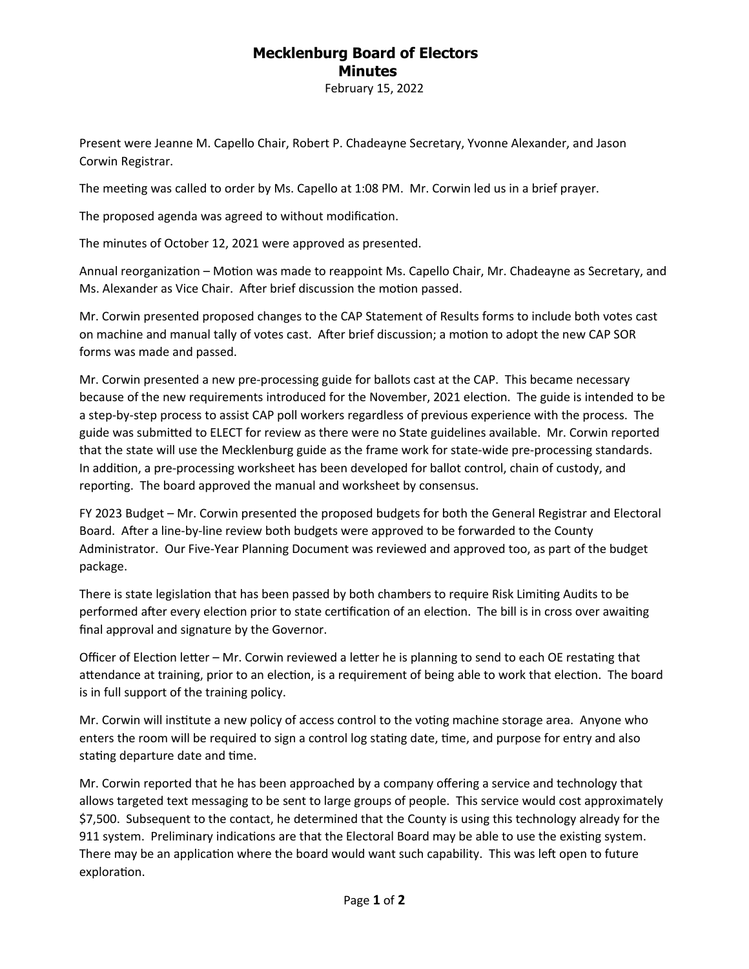## **Mecklenburg Board of Electors Minutes**

February 15, 2022

Present were Jeanne M. Capello Chair, Robert P. Chadeayne Secretary, Yvonne Alexander, and Jason Corwin Registrar.

The meeting was called to order by Ms. Capello at 1:08 PM. Mr. Corwin led us in a brief prayer.

The proposed agenda was agreed to without modification.

The minutes of October 12, 2021 were approved as presented.

Annual reorganization – Motion was made to reappoint Ms. Capello Chair, Mr. Chadeayne as Secretary, and Ms. Alexander as Vice Chair. After brief discussion the motion passed.

Mr. Corwin presented proposed changes to the CAP Statement of Results forms to include both votes cast on machine and manual tally of votes cast. After brief discussion; a motion to adopt the new CAP SOR forms was made and passed.

Mr. Corwin presented a new pre-processing guide for ballots cast at the CAP. This became necessary because of the new requirements introduced for the November, 2021 election. The guide is intended to be a step-by-step process to assist CAP poll workers regardless of previous experience with the process. The guide was submitted to ELECT for review as there were no State guidelines available. Mr. Corwin reported that the state will use the Mecklenburg guide as the frame work for state-wide pre-processing standards. In addition, a pre-processing worksheet has been developed for ballot control, chain of custody, and reporting. The board approved the manual and worksheet by consensus.

FY 2023 Budget – Mr. Corwin presented the proposed budgets for both the General Registrar and Electoral Board. After a line-by-line review both budgets were approved to be forwarded to the County Administrator. Our Five-Year Planning Document was reviewed and approved too, as part of the budget package.

There is state legislation that has been passed by both chambers to require Risk Limiting Audits to be performed after every election prior to state certification of an election. The bill is in cross over awaiting final approval and signature by the Governor.

Officer of Election letter – Mr. Corwin reviewed a letter he is planning to send to each OE restating that attendance at training, prior to an election, is a requirement of being able to work that election. The board is in full support of the training policy.

Mr. Corwin will institute a new policy of access control to the voting machine storage area. Anyone who enters the room will be required to sign a control log stating date, time, and purpose for entry and also stating departure date and time.

Mr. Corwin reported that he has been approached by a company offering a service and technology that allows targeted text messaging to be sent to large groups of people. This service would cost approximately \$7,500. Subsequent to the contact, he determined that the County is using this technology already for the 911 system. Preliminary indications are that the Electoral Board may be able to use the existing system. There may be an application where the board would want such capability. This was left open to future exploration.